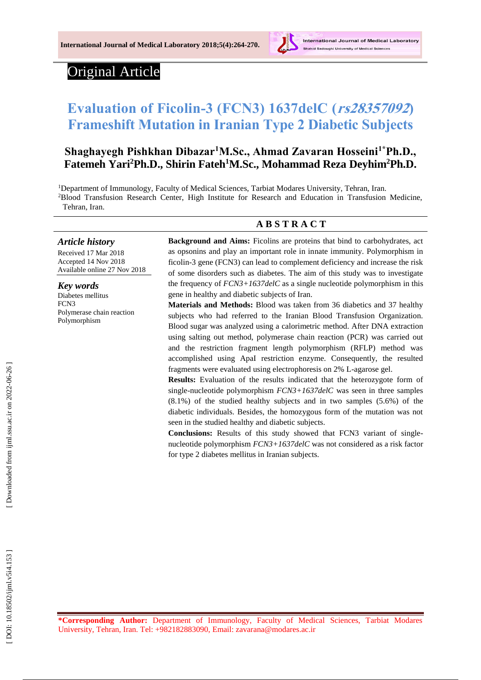

# Original Article

# **Evaluation of Ficolin -3 (FCN3) 1637delC (rs28357092) Frameshift Mutation in Iranian Type 2 Diabetic Subjects**

# Shaghayegh Pishkhan Dibazar<sup>1</sup>M.Sc., Ahmad Zavaran Hosseini<sup>1\*</sup>Ph.D., Fatemeh Yari<sup>2</sup>Ph.D., Shirin Fateh<sup>1</sup>M.Sc., Mohammad Reza Deyhim<sup>2</sup>Ph.D.

<sup>1</sup>Department of Immunology, Faculty of Medical Sciences, Tarbiat Modares University, Tehran, Iran. <sup>2</sup>Blood Transfusion Research Center, High Institute for Research and Education in Transfusion Medicine, Tehran, Iran .

# **A B S T R A C T**

*Article history*

Received 17 Mar 201 8 Accepted 1 4 Nov 201 8 Available online 27 Nov 201 8

*Key words*

Diabetes mellitus FCN3 Polymerase chain reaction Polymorphism

**Background and Aims:** Ficolins are proteins that bind to carbohydrates, act as opsonins and play an important role in innate immunity. Polymorphism in ficolin -3 gene (FCN3) can lead to complement deficiency and increase the risk of some disorders such as diabetes. The aim of this study was to investigate the frequency of *FCN3+1637delC* as a single nucleotide polymorphism in this gene in healthy and diabetic subjects of Iran.

**Materials and Methods:** Blood was taken from 36 diabetics and 37 healthy subjects who had referred to the Iranian Blood Transfusion Organization. Blood sugar was analyzed using a calorimetric method. After DNA extraction using salting out method, polymerase chain reaction (PCR) was carried out and the restriction fragment length polymorphism (RFLP) method was accomplished using ApaI restriction enzyme. Consequently, the resulted fragments were evaluated using electrophoresis on 2% L -agarose gel.

**Results:** Evaluation of the results indicated that the heterozygote form of single -nucleotide polymorphism *FCN3+1637delC* was seen in three samples (8.1%) of the studied healthy subjects and in two samples (5.6%) of the diabetic individuals. Besides, the homozygous form of the mutation was not seen in the studied healthy and diabetic subjects.

Conclusions: Results of this study showed that FCN3 variant of singlenucleotide polymorphism *FCN3+1637delC* was not considered as a risk factor for type 2 diabetes mellitus in Iranian subjects.

**\*Corresponding Author:** Department of Immunology, Faculty of Medical Sciences, Tarbiat Modares University, Tehran, Iran. Tel: +982182883090, Email: zavarana@modares.ac.ir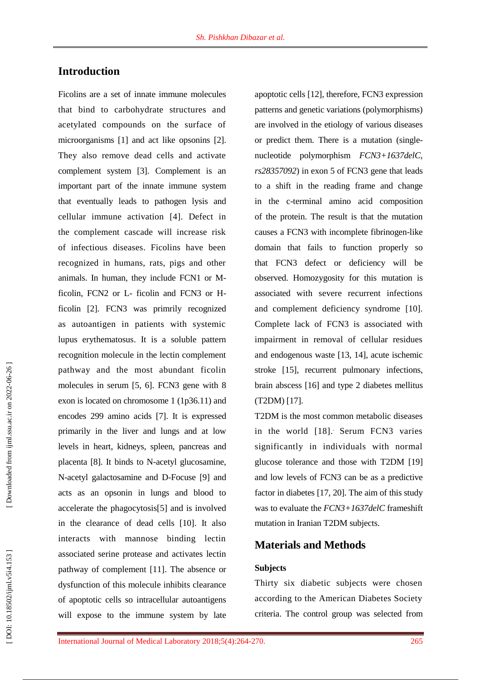# **Introduction**

Ficolins are a set of innate immune molecules that bind to carbohydrate structures and acetylated compounds on the surface of microorganisms [1] and act like opsonins [2]. They also remove dead cells and activate complement system [3]. Complement is an important part of the innate immune system that eventually leads to pathogen lysis and cellular immune activation [4]. Defect in the complement cascade will increase risk of infectious diseases. Ficolins have been recognized in humans, rats, pigs and other animals. In human, they include FCN1 or M ficolin, FCN2 or L- ficolin and FCN3 or Hficolin [2]. FCN3 was primrily recognized as autoantigen in patients with systemic lupus erythematosus. It is a soluble pattern recognition molecule in the lectin complement pathway and the most abundant ficolin molecules in serum [5, 6]. FCN3 gene with 8 exon is located on chromosome 1 (1p36.11) and encodes 299 amino acids [7]. It is expressed primarily in the liver and lungs and at low levels in heart, kidneys, spleen, pancreas and placenta [8]. It binds to N -acetyl glucosamine, N -acetyl galactosamine and D -Focuse [9] and act s as an opsonin in lungs and blood to accelerate the phagocytosis[5] and is involved in the clearance of dead cells [10]. It also interacts with mannose binding lectin associated serine protease and activates lectin pathway of complement [11]. The absence or dysfunction of this molecule inhibits clearance of apoptotic cells so intracellular autoantigens will expose to the immune system by late

apoptotic cells [12], therefore, FCN3 expression patterns and genetic variations (polymorphisms) are involved in the etiology of various diseases or predict them. There is a mutation (single nucleotide polymorphism *FCN3+1637delC*, *rs28357092*) in exon 5 of FCN3 gene that leads to a shift in the reading frame and change in the c -terminal amino acid composition of the protein. The result is that the mutation causes a FCN3 with incomplete fibrinogen -like domain that fails to function properly so that FCN3 defect or deficiency will be observed. Homozygosity for this mutation is associated with severe recurrent infections and complement deficiency syndrome [10]. Complete lack of FCN3 is associated with impairment in removal of cellular residues and endogenous waste [13, 14], acute ischemic stroke [15], recurrent pulmonary infections, brain abscess [16] and type 2 diabetes mellitus (T2DM) [17] .

T2DM is the most common metabolic diseases in the world [18] . . Serum FCN3 varies significantly in individuals with normal glucose tolerance and those with T2DM [19] and low levels of FCN3 can be as a predictive factor in diabetes [17, 20] . The aim of this study was to evaluate the *FCN3+1637delC* frameshift mutation in Iranian T2DM subjects.

## **Material s and Methods**

#### **Subjects**

Thirty six diabetic subjects were chosen according to the American Diabetes Society criteria. The control group was selected from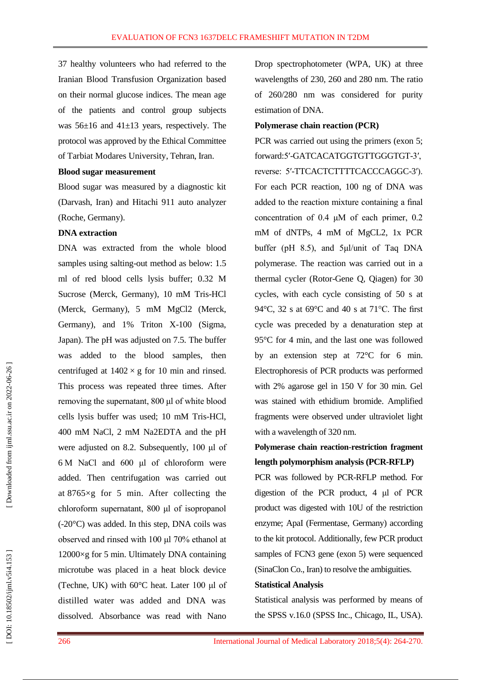37 healthy volunteers who had referred to the Iranian Blood Transfusion Organization based on their normal glucose indices. The mean age of the patients and control group subjects was 56 ±16 and 41±13 years, respectively. The protocol was approved by the Ethical Committee of Tarbiat Modares University, Tehran, Iran .

#### **Blood sugar measurement**

Blood sugar was measured by a diagnostic kit (Darvash, Iran) and Hitachi 911 auto analyzer (Roche, Germany).

#### **DNA extraction**

DNA was extracted from the whole blood samples using salting-out method as below: 1.5 ml of red blood cells lysi s buffer; 0.32 M Sucrose (Merck, Germany), 10 mM Tris -HCl (Merck, Germany), 5 mM MgCl2 (Merck, Germany), and 1% Triton X -100 (Sigma, Japan). The pH was adjusted on 7.5. The buffer was added to the blood samples, then centrifuged at  $1402 \times g$  for 10 min and rinsed. This process was repeated three times. After removing the supernatant, 800 μl of white blood cells lysis buffer was used; 10 mM Tris -HCl, 400 mM NaCl, 2 mM Na2EDTA and the pH were adjusted on 8.2. Subsequently , 100 μl of 6 M NaCl and 600 μl of chloroform were added. Then centrifugation was carried out at 8765×g for 5 min. After collecting the chloroform supernatant, 800 μl of isopropanol (-20°C) was added. In this step, DNA coils was observed and rinsed with 100 μl 70% ethanol at 12000 ×g for 5 min. Ultimately DNA containing microtube was placed in a heat block device (Techne, UK) with 60°C heat. Later 100 μl of distilled water was added and DNA was dissolved. Absorbance was read with Nano

Drop spectrophotometer (WPA, UK) at three wavelengths of 230, 260 and 280 nm. The ratio of 260/280 nm was considered for purity estimation of DNA.

#### **Polymerase chain reaction (PCR)**

PCR was carried out using the primers (exon 5; forward :5′ -GATCACATGGTGTTGGGTGT -3′, reverse: 5'-TTCACTCTTTTCACCCAGGC-3'). For each PCR reaction, 100 ng of DNA was added to the reaction mixture containing a final concentration of 0.4 μM of each primer, 0.2 mM of dNTPs, 4 mM of MgCL2, 1x PCR buffer (pH 8.5), and 5μl/unit of Taq DNA polymerase. The reaction was carried out in a thermal cycler (Rotor -Gene Q, Qiagen) for 30 cycles, with each cycle consisting of 50 s at 94 °C, 32 s at 69°C and 40 s at 71°C. The first cycle was preceded by a denaturation step at 95°C for 4 min, and the last one was followed by an extension step at 72°C for 6 min. Electrophoresis of PCR products was performed with 2% agarose gel in 150 V for 30 min. Gel was stained with ethidium bromide. Amplified fragments were observed under ultraviolet light with a wavelength of 320 nm.

# **Polymerase chain reaction -restriction fragment length polymorphism analysis (PCR -RFLP)**

PCR was followed by PCR -RFLP method. For digestion of the PCR product, 4 μl of PCR product was digested with 10U of the restriction enzyme; ApaI (Fermentase, Germany) according to the kit protocol. Additionally, few PCR product samples of FCN3 gene (exon 5) were sequenced (SinaClon Co., Iran) to resolve the ambiguities.

#### **Statistical Analysis**

Statistical analysis was performed by means of the SPSS v.16.0 (SPSS Inc., Chicago, IL, USA).

DOI: 10.18502/ijml.v5i4.153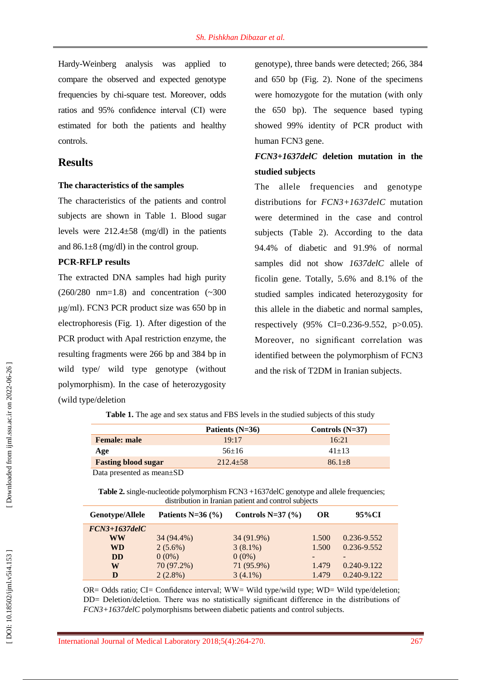Hardy -Weinberg analysis was applied to compare the observed and expected genotype frequencies by chi -square test. Moreover, odds ratios and 95% confidence interval (CI) were estimated for both the patients and healthy controls.

### **Results**

#### **The characteristics of the samples**

The characteristics of the patients and control subjects are shown in Table 1. Blood sugar levels were 212.4±58 (mg/dl) in the patients and  $86.1\pm8$  (mg/dl) in the control group.

#### **PCR -RFLP results**

The extracted DNA samples had high purity (260/280 nm=1.8) and concentration (~300 μg/ml) . FCN3 PCR product size was 650 bp in electrophoresis (Fig. 1). After digestion of the PCR product with ApaI restriction enzyme, the resulting fragments were 266 bp and 384 bp in wild type/ wild type genotype (without polymorphism). In the case of heterozygosity (wild type/deletion

genotype), three bands were detected; 266, 384 and 650 bp (Fig. 2). None of the specimens were homozygote for the mutation (with only the 650 bp). The sequence based typing showed 99% identity of PCR product with human FCN3 gene.

# *FCN3+1637delC* **deletion mutation in the studied subjects**

The allele frequencies and genotype distributions for *FCN3+1637delC* mutation were determined in the case and control subjects (Table 2). According to the data 94.4% of diabetic and 91.9% of normal samples did not show **1637delC** allele of ficolin gene. Totally, 5.6% and 8.1% of the studied samples indicated heterozygosity for this allele in the diabetic and normal samples, respectively (95% CI=0.236 -9.552, p>0.05). Moreover, no significant correlation was identified between the polymorphism of FCN3 and the risk of T2DM in Iranian subjects .

|                            | Patients $(N=36)$ | Controls $(N=37)$ |
|----------------------------|-------------------|-------------------|
| <b>Female: male</b>        | 19:17             | 16:21             |
| Age                        | $56+16$           | $41 + 13$         |
| <b>Fasting blood sugar</b> | $212.4+58$        | $86.1 + 8$        |

**Table 1.** The age and sex status and FBS levels in the studied subjects of this study

Data presented as mean±SD

Table 2. single-nucleotide polymorphism FCN3 +1637delC genotype and allele frequencies; distribution in Iranian patient and control subjects

| Genotype/Allele | Patients N=36 $(\% )$ | Controls N= $37$ (%) | <b>OR</b> | 95%CI           |
|-----------------|-----------------------|----------------------|-----------|-----------------|
| $FCN3+1637delC$ |                       |                      |           |                 |
| WW              | 34 (94.4%)            | 34 (91.9%)           | 1.500     | $0.236 - 9.552$ |
| <b>WD</b>       | $2(5.6\%)$            | $3(8.1\%)$           | 1.500     | 0.236-9.552     |
| <b>DD</b>       | $0(0\%)$              | $0(0\%)$             |           |                 |
| W               | 70 (97.2%)            | 71 (95.9%)           | 1.479     | 0.240-9.122     |
| D               | $2(2.8\%)$            | $3(4.1\%)$           | 1.479     | 0.240-9.122     |

OR= Odds ratio; CI= Confidence interval; WW= Wild type/wild type; WD= Wild type/deletion; DD = Deletion/deletion. There was no statistically significant difference in the distributions of *FCN3+1637delC* polymorphisms between diabetic patients and control subjects.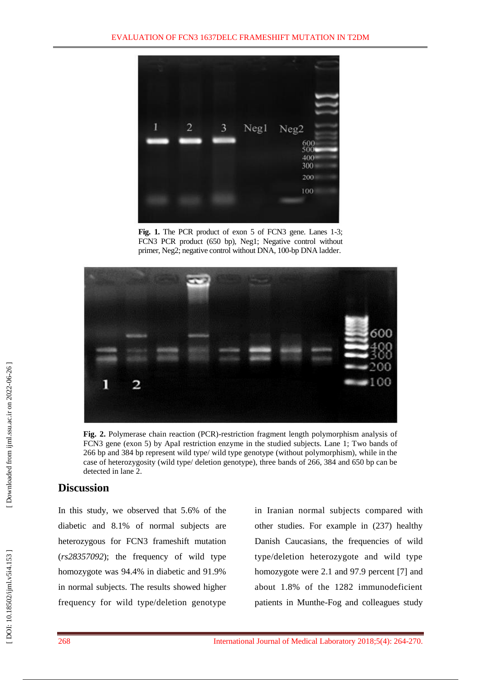

Fig. 1. The PCR product of exon 5 of FCN3 gene. Lanes 1-3; FCN3 PCR product (650 bp), Neg1; Negative control without primer, Neg2; negative control without DNA, 100-bp DNA ladder.



**Fig. 2.** Polymerase chain reaction (PCR)-restriction fragment length polymorphism analysis of FCN3 gene (exon 5) by ApaI restriction enzyme in the studied subjects. Lane 1; Two bands of 266 bp and 384 bp represent wild type/ wild type genotype (without polymorphism), while in the case of heterozygosity (wild type/ deletion genotype), three bands of 266, 384 and 650 bp can be detected in lane 2.

## **Discussion**

In this study, we observed that 5.6% of the diabetic and 8.1% of normal subjects are heterozygous for FCN3 frameshift mutation (*rs28357092*); the frequency of wild type homozygote was 94.4% in diabetic and 91.9% in normal subjects. The results showed higher frequency for wild type/deletion genotype

in Iranian normal subjects compared with other studies. For example in (237) healthy Danish Caucasians, the frequencies of wild type/deletion heterozygote and wild type homozygote were 2.1 and 97.9 percent [7] and<br>about 1.8% of the 1282 immunodeficient patients in Munthe -Fog and colleagues study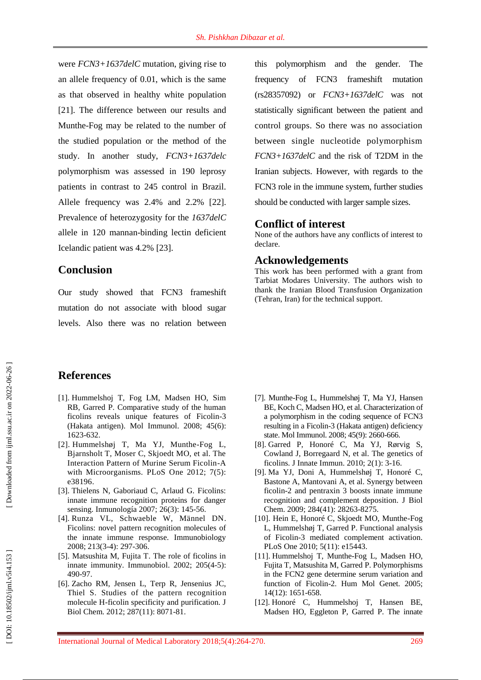were *FCN3+1637delC* mutation, giving rise to an allele frequency of 0.01, which is the same as that observed in healthy white population [21] . The difference between our results and Munthe -Fog may be related to the number of the studied population or the method of the study. In another study, *FCN3+1637delc* polymorphism was assessed in 190 leprosy patient s in contrast to 245 control in Brazil. Allele frequency was 2.4% and 2.2% [22]. Prevalence of heterozygosity for the *1637delC*  allele in 120 mannan -binding lectin deficient Icelandic patient was 4.2% [23].

### **Conclusion**

Our study showed that FCN3 frameshift mutation do not associate with blood sugar levels. Also there was no relation between this polymorphism and the gender. The frequency of FCN3 frameshift mutation (rs28357092) or *FCN3+1637delC* was not statistically significant between the patient and control groups. So there was no association between single nucleotide polymorphism *FCN3+1637delC* and the risk of T2DM in the Iranian subjects. However, with regards to the FCN3 role in the immune system, further studies should be conducted with larger sample sizes.

### **Conflict of interest**

None of the authors have any conflicts of interest to declare.

### **Acknowledgements**

This work has been performed with a grant from Tarbiat Modares University. The authors wish to thank the Iranian Blood Transfusion Organization (Tehran, Iran) for the technical support.

## **References**

- [1]. Hummelshoj T, Fog LM, Madsen HO, Sim RB, Garred P. Comparative study of the human ficolins reveals unique features of Ficolin -3 (Hakata antigen). Mol Immunol. 2008; 45(6): 1623 - 632.
- [2]. Hummelshøj T, Ma YJ, Munthe -Fog L, Bjarnsholt T, Moser C, Skjoedt MO, et al. The Interaction Pattern of Murine Serum Ficolin -A with Microorganisms. PLoS One 2012; 7(5): e38196.
- [3]. Thielens N, Gaboriaud C, Arlaud G. Ficolins: innate immune recognition proteins for danger sensing. Inmunología 2007; 26(3): 145 -56.
- [4]. Runza VL, Schwaeble W, Männel DN. Ficolins: novel pattern recognition molecules of the innate immune response. Immunobiology 2008; 213(3 -4): 297 -306.
- [5]. Matsushita M, Fujita T. The role of ficolins in innate immunity. Immunobiol. 2002; 205(4 -5): 490 - 97.
- [6]. Zacho RM, Jensen L, Terp R, Jensenius JC, Thiel S. Studies of the pattern recognition molecule H -ficolin specificity and purification. J Biol Chem. 2012; 287(11): 8071 -81.
- [7]. Munthe -Fog L, Hummelshøj T, Ma YJ, Hansen BE, Koch C, Madsen HO, et al. Characterization of a polymorphism in the coding sequence of FCN3 resulting in a Ficolin -3 (Hakata antigen) deficiency state. Mol Immunol. 2008; 45(9): 2660 -666.
- [8]. Garred P, Honoré C, Ma YJ, Rørvig S, Cowland J, Borregaard N, et al. The genetics of ficolins. J Innate Immun. 2010; 2(1): 3 -16.
- [9]. Ma YJ, Doni A, Hummelshøj T, Honoré C, Bastone A, Mantovani A, et al. Synergy between ficolin -2 and pentraxin 3 boosts innate immune recognition and complement deposition. J Biol Chem. 2009; 284(41): 28263 -8275.
- [10]. Hein E, Honoré C, Skjoedt MO, Munthe Fog L, Hummelshøj T, Garred P. Functional analysis of Ficolin -3 mediated complement activation. PLoS One 2010; 5(11): e15443.
- [11]. Hummelshoj T, Munthe -Fog L, Madsen HO, Fujita T, Matsushita M, Garred P. Polymorphisms in the FCN2 gene determine serum variation and function of Ficolin-2. Hum Mol Genet. 2005; 14(12): 1651 -658.
- [12]. Honoré C, Hummelshoj T, Hansen BE, Madsen HO, Eggleton P, Garred P. The innate